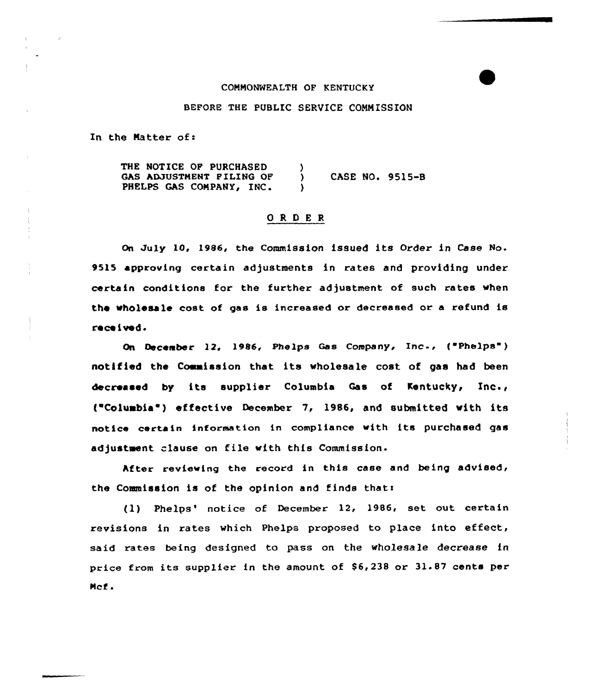## COMMONWEALTH OF KENTUCKY

### BEFORE THE PUBLIC SERVICE COMMISSION

In the Matter of:

THE NOTICE OF PURCHASED (3) GAS ADJUSTMENT FILING OF ) CASE NO. 9515-B<br>PHELPS GAS COMPANY, INC. PHELPS GAS COMPANY, INC.

# ORDER

On July 10, 1986, the Commission issued its Order in Case No. 9515 approving certain adjustments in rates and providing under certain conditions for the further adjustment of such rates when the wholesale cost of gas is increased or decreased or a refund is received.

On December 12, 1986, Phelps Gas Company, Inc., ("Phelps") notified the Commission that its wholesale cost of gas had been decreased by its supplier Columbia Gas of Kentucky, Inc., ("Columbia") effective December 7, 1986, and submitted with its notice certain information in compliance with its purchased gas adjustment clause on file with this Commission.

After reviewing the record in this case and being advised, the Commission is of the opinion and finds thats

(1) Phelps' notice of December 12, 1986, set out certain revisions in rates which Phelps proposed to place into effect, said rates being designed to pass on the wholesale decrease in price from its supplier in the amount of  $$6,238$  or  $31.87$  cents per Mcf.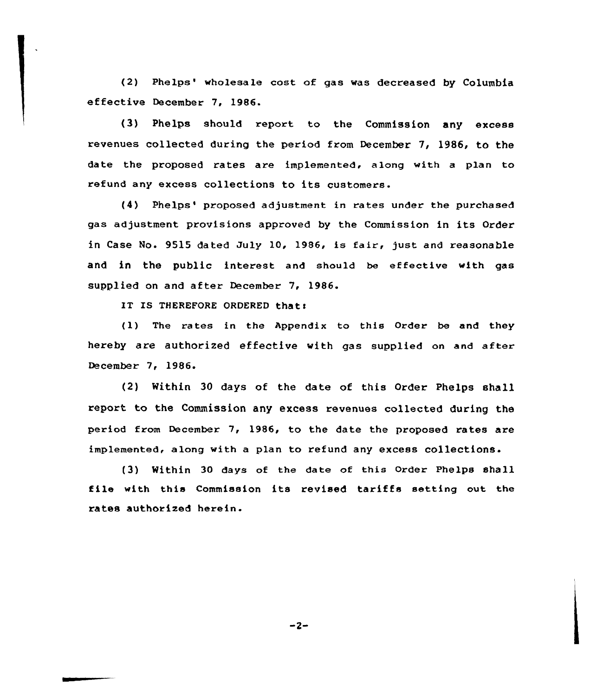(2) Phelps'holesale cost of gas was decreased by Columbia effective December 7, 1986.

(3) Phelps should report to the Commission any excess revenues collected during the period from December  $7$ , 1986, to the date the proposed rates are implemented, along with a plan to refund any excess collections to its customers.

(4) Phelps' proposed adjustment in rates under the purchased gas adjustment provisions approved by the Commission in its Order in Case No. 9515 dated July 10, 1986, is fair, just and reasonable and in the public interest and should be effective with gas supplied on and after December 7, 1986.

IT IS THEREFORE ORDERED that:

{1) The rates in the Appendix to this Order be and they hereby are authorized effective with gas supplied on and after December 7, 1986.

'2) Within 30 days of the date of this Order Phelps shall report to the Commission any excess revenues collected during the period from December 7, 1986, to the date the proposed rates are implemented, along with a plan to refund any excess collections.

Mithin 30 days of the date of this Order Phelps shall file with this Commission its revised tariffs setting out the rates authorized herein.

 $-2-$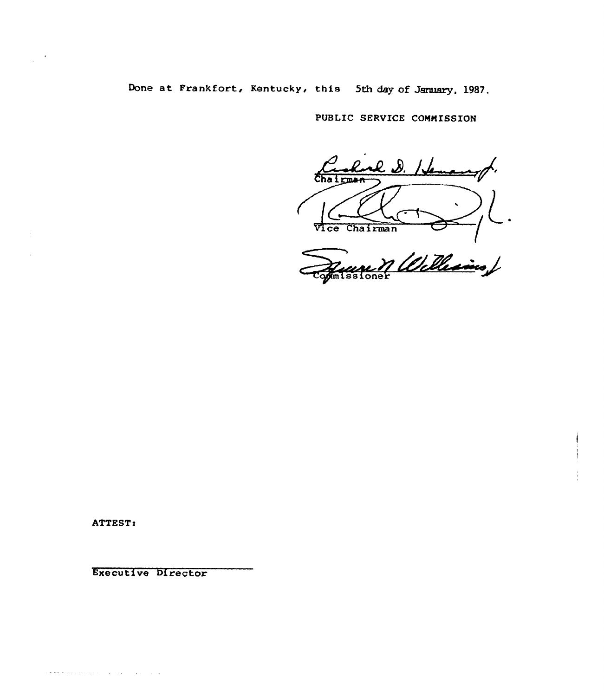Done at Frankfort, Kentucky, this 5th day of January, 1987.

PUBLIC SERVICE COMMISSION

 $\mathcal{L}$   $\mathcal{S}_{\cdot}$ <u>| Je</u>  $Chal$ rma-6 Vice Chairman an (1)

ATTEST:

الوارد والمتمسسس

 $\alpha$ 

Executive Director